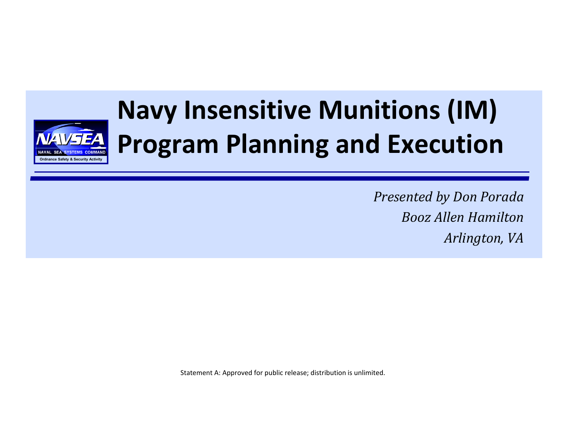

# **Navy Insensitive Munitions (IM) Program Planning and Execution**

*Presented by Don Porada Booz Allen Hamilton Arlington, VA*

Statement A: Approved for public release; distribution is unlimited.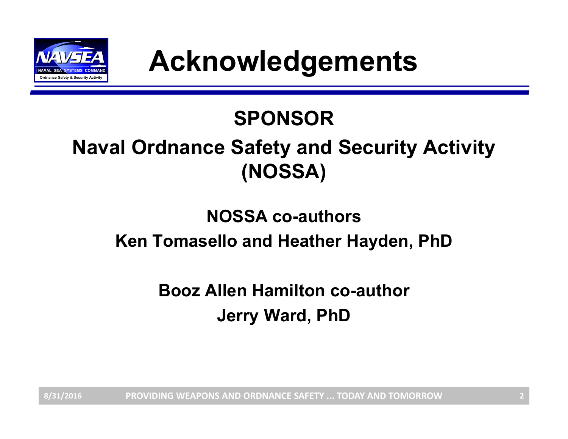

# **SPONSOR**

# **Naval Ordnance Safety and Security Activity (NOSSA)**

#### **NOSSA co-authorsKen Tomasello and Heather Hayden, PhD**

**Booz Allen Hamilton co-authorJerry Ward, PhD**

**PROVIDING WEAPONS AND ORDNANCE SAFETY ... TODAY AND TOMORROW8/31/2016 2**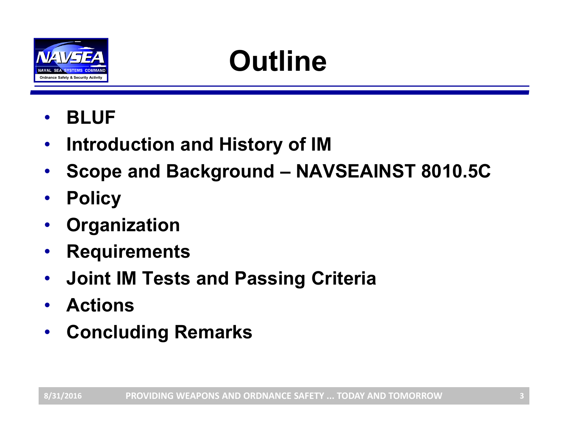

# **Outline**

- •**BLUF**
- $\bullet$ **Introduction and History of IM**
- •**Scope and Background – NAVSEAINST 8010.5C**
- $\bullet$ **Policy**
- •**Organization**
- •**Requirements**
- $\bullet$ **Joint IM Tests and Passing Criteria**
- $\bullet$ **Actions**
- $\bullet$ **Concluding Remarks**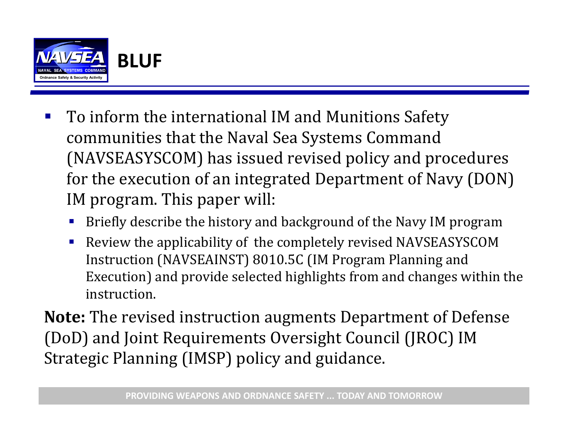

- $\mathcal{L}_{\mathcal{A}}$ To inform the international IM and Munitions Safety communities that the Naval Sea Systems Command (NAVSEASYSCOM) has issued revised policy and procedures for the execution of an integrated Department of Navy (DON) IM program. This paper will:
	- Briefly describe the history and background of the Navy IM program
	- Review the applicability of the completely revised NAVSEASYSCOM Instruction (NAVSEAINST) 8010.5C (IM Program Planning and Execution) and provide selected highlights from and changes within the instruction.

**Note:** The revised instruction augments Department of Defense (DoD) and Joint Requirements Oversight Council (JROC) IM Strategic Planning (IMSP) policy and guidance.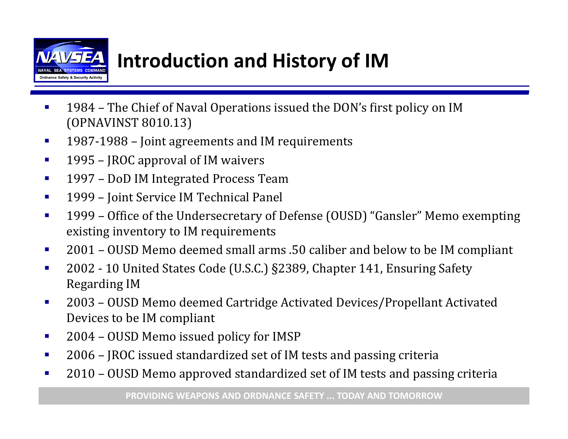

# **Introduction and History of IM**

- П 1984 – The Chief of Naval Operations issued the DON's first policy on IM (OPNAVINST 8010.13)
- $\mathcal{L}_{\mathcal{A}}$ 1987-1988 – Joint agreements and IM requirements
- $\mathcal{L}_{\mathcal{A}}$ 1995 – JROC approval of IM waivers
- $\mathcal{L}_{\mathcal{A}}$ 1997 – DoD IM Integrated Process Team
- $\mathcal{L}_{\mathcal{A}}$ 1999 – Joint Service IM Technical Panel
- $\mathbf{r}$ 1999 - Office of the Undersecretary of Defense (OUSD) "Gansler" Memo exempting existing inventory to IM requirements
- $\mathcal{L}_{\mathcal{A}}$ 2001 – OUSD Memo deemed small arms .50 caliber and below to be IM compliant
- $\mathcal{L}_{\mathcal{A}}$ 2002 - 10 United States Code (U.S.C.) §2389, Chapter 141, Ensuring Safety Regarding IM
- $\mathcal{L}_{\mathcal{A}}$ 2003 - OUSD Memo deemed Cartridge Activated Devices/Propellant Activated Devices to be IM compliant
- П 2004 – OUSD Memo issued policy for IMSP
- $\mathbf{r}$ 2006 – JROC issued standardized set of IM tests and passing criteria
- $\mathcal{L}_{\mathcal{A}}$ 2010 – OUSD Memo approved standardized set of IM tests and passing criteria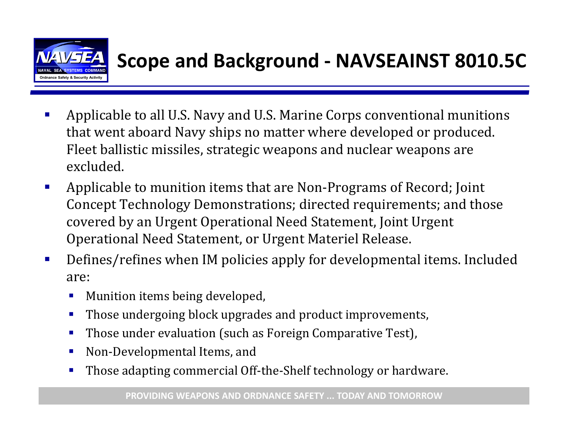

## **Scope and Background ‐ NAVSEAINST 8010.5C**

- $\mathcal{L}_{\mathcal{A}}$ Applicable to all U.S. Navy and U.S. Marine Corps conventional munitions that went aboard Navy ships no matter where developed or produced. Fleet ballistic missiles, strategic weapons and nuclear weapons are excluded.
- $\mathcal{L}_{\mathcal{A}}$ Applicable to munition items that are Non-Programs of Record; Joint Concept Technology Demonstrations; directed requirements; and those covered by an Urgent Operational Need Statement, Joint Urgent Operational Need Statement, or Urgent Materiel Release.
- $\mathcal{L}_{\mathcal{A}}$ Defines/refines when IM policies apply for developmental items. Included are:
	- ▉ Munition items being developed,
	- П Those undergoing block upgrades and product improvements,
	- Those under evaluation (such as Foreign Comparative Test),
	- $\mathcal{L}_{\mathcal{A}}$ Non-Developmental Items, and
	- П Those adapting commercial Off-the-Shelf technology or hardware.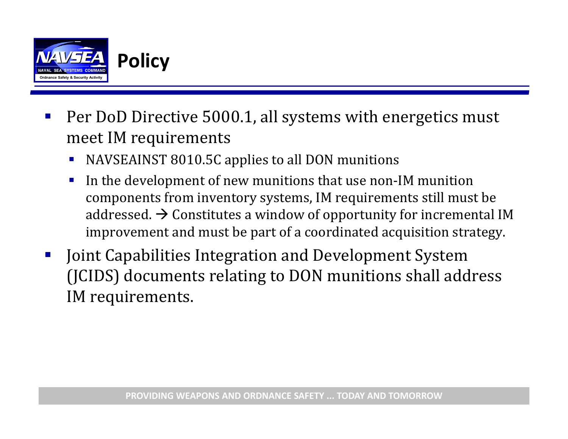

- $\mathcal{L}_{\mathcal{A}}$ Per DoD Directive 5000.1, all systems with energetics must meet IM requirements
	- NAVSEAINST 8010.5C applies to all DON munitions
	- **Service Service** In the development of new munitions that use non-IM munition components from inventory systems, IM requirements still must be addressed.  $\bm{\rightarrow}$  Constitutes a window of opportunity for incremental IM improvement and must be part of a coordinated acquisition strategy.
- $\mathbb{R}^3$ Joint Capabilities Integration and Development System (JCIDS) documents relating to DON munitions shall address IM requirements.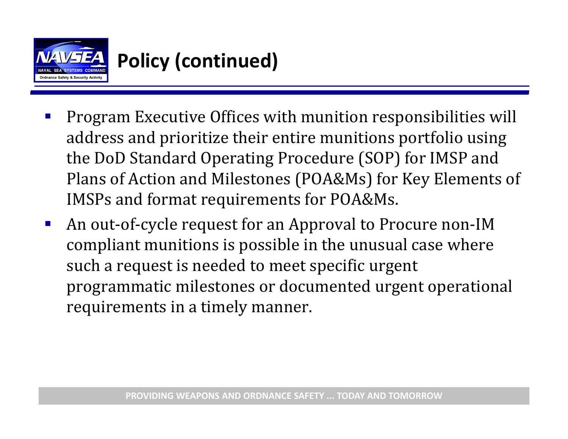

# **Policy (continued)**

- $\mathcal{L}_{\mathcal{A}}$ Program Executive Offices with munition responsibilities will address and prioritize their entire munitions portfolio using the DoD Standard Operating Procedure (SOP) for IMSP and Plans of Action and Milestones (POA&Ms) for Key Elements of IMSPs and format requirements for POA&Ms.
- $\mathcal{L}_{\mathcal{A}}$ An out-of-cycle request for an Approval to Procure non-IM compliant munitions is possible in the unusual case where such a request is needed to meet specific urgent programmatic milestones or documented urgent operational requirements in a timely manner.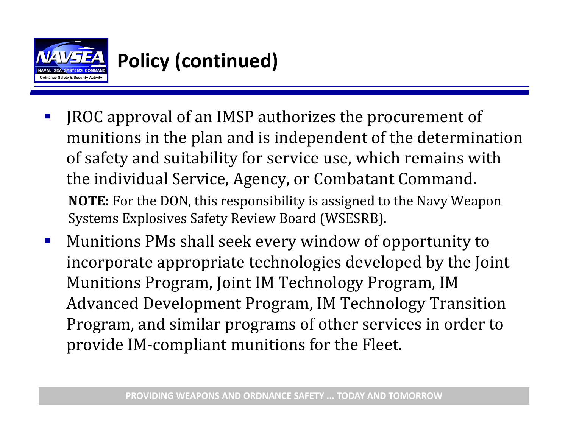

# **Policy (continued)**

- $\mathcal{L}_{\mathcal{A}}$ JROC approval of an IMSP authorizes the procurement of munitions in the plan and is independent of the determination of safety and suitability for service use, which remains with the individual Service, Agency, or Combatant Command. **NOTE:** For the DON, this responsibility is assigned to the Navy Weapon Systems Explosives Safety Review Board (WSESRB).
- $\mathcal{L}_{\mathcal{A}}$ Munitions PMs shall seek every window of opportunity to incorporate appropriate technologies developed by the Joint Munitions Program, Joint IM Technology Program, IM Advanced Development Program, IM Technology Transition Program, and similar programs of other services in order to provide IM-compliant munitions for the Fleet.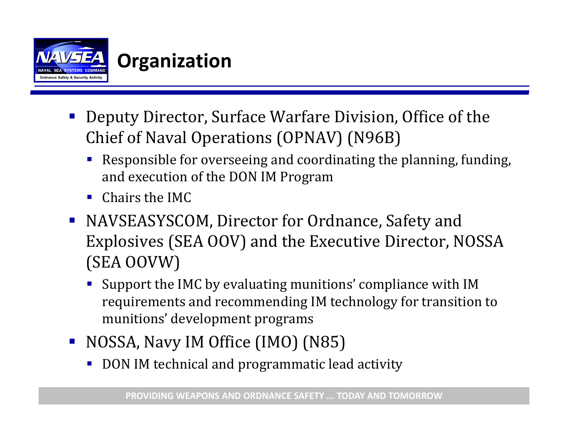

- Deputy Director, Surface Warfare Division, Office of the Chief of Naval Operations (OPNAV) (N96B)
	- p. Responsible for overseeing and coordinating the planning, funding, and execution of the DON IM Program
	- $\blacksquare$  Chairs the IMC
- NAVSEASYSCOM, Director for Ordnance, Safety and Explosives (SEA OOV) and the Executive Director, NOSSA (SEA OOVW)
	- Support the IMC by evaluating munitions' compliance with IM requirements and recommending IM technology for transition to munitions' development programs
- NOSSA, Navy IM Office (IMO) (N85)
	- DON IM technical and programmatic lead activity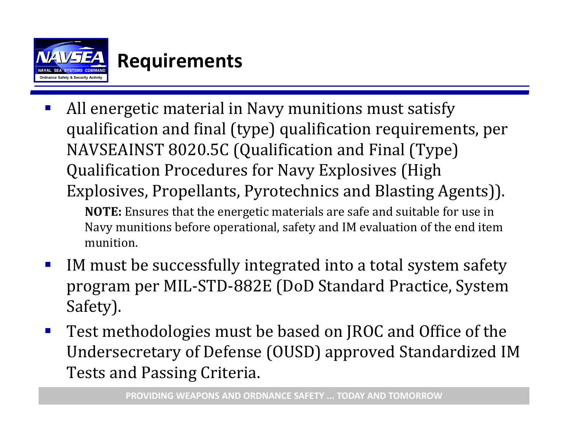

#### **Requirements**

 $\mathcal{L}_{\mathcal{A}}$ All energetic material in Navy munitions must satisfy qualification and final (type) qualification requirements, per NAVSEAINST 8020.5C (Qualification and Final (Type) Qualification Procedures for Navy Explosives (High Explosives, Propellants, Pyrotechnics and Blasting Agents)).

**NOTE:** Ensures that the energetic materials are safe and suitable for use in Navy munitions before operational, safety and IM evaluation of the end item munition. 

- $\mathbb{R}^3$ IM must be successfully integrated into a total system safety program per MIL-STD-882E (DoD Standard Practice, System Safety).
- $\mathcal{L}_{\text{max}}$ Test methodologies must be based on JROC and Office of the Undersecretary of Defense (OUSD) approved Standardized IM Tests and Passing Criteria.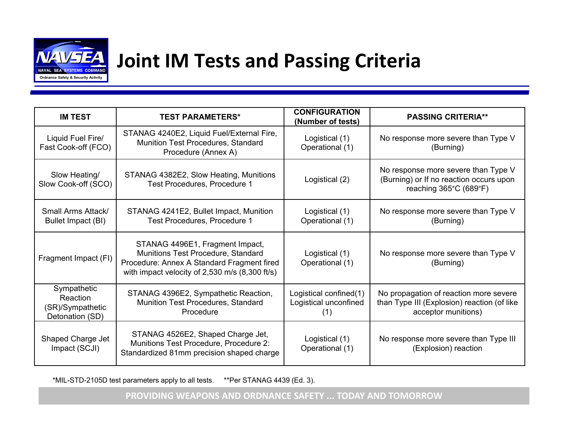

#### **Joint IM Tests and Passing Criteria**

| <b>IM TEST</b>                                                 | <b>TEST PARAMETERS*</b>                                                                                                                                               | <b>CONFIGURATION</b><br>(Number of tests)              | <b>PASSING CRITERIA**</b>                                                                                    |
|----------------------------------------------------------------|-----------------------------------------------------------------------------------------------------------------------------------------------------------------------|--------------------------------------------------------|--------------------------------------------------------------------------------------------------------------|
| Liquid Fuel Fire/<br>Fast Cook-off (FCO)                       | STANAG 4240E2, Liquid Fuel/External Fire,<br><b>Munition Test Procedures, Standard</b><br>Procedure (Annex A)                                                         | Logistical (1)<br>Operational (1)                      | No response more severe than Type V<br>(Burning)                                                             |
| Slow Heating/<br>Slow Cook-off (SCO)                           | STANAG 4382E2, Slow Heating, Munitions<br>Test Procedures, Procedure 1                                                                                                | Logistical (2)                                         | No response more severe than Type V<br>(Burning) or If no reaction occurs upon<br>reaching 365°C (689°F)     |
| Small Arms Attack/<br>Bullet Impact (BI)                       | STANAG 4241E2, Bullet Impact, Munition<br>Test Procedures, Procedure 1                                                                                                | Logistical (1)<br>Operational (1)                      | No response more severe than Type V<br>(Burning)                                                             |
| Fragment Impact (FI)                                           | STANAG 4496E1, Fragment Impact,<br>Munitions Test Procedure, Standard<br>Procedure: Annex A Standard Fragment fired<br>with impact velocity of 2,530 m/s (8,300 ft/s) | Logistical (1)<br>Operational (1)                      | No response more severe than Type V<br>(Burning)                                                             |
| Sympathetic<br>Reaction<br>(SR)/Sympathetic<br>Detonation (SD) | STANAG 4396E2, Sympathetic Reaction,<br>Munition Test Procedures, Standard<br>Procedure                                                                               | Logistical confined(1)<br>Logistical unconfined<br>(1) | No propagation of reaction more severe<br>than Type III (Explosion) reaction (of like<br>acceptor munitions) |
| Shaped Charge Jet<br>Impact (SCJI)                             | STANAG 4526E2, Shaped Charge Jet,<br>Munitions Test Procedure, Procedure 2:<br>Standardized 81mm precision shaped charge                                              | Logistical (1)<br>Operational (1)                      | No response more severe than Type III<br>(Explosion) reaction                                                |

\*MIL-STD-2105D test parameters apply to all tests. \*\*Per STANAG 4439 (Ed. 3).

**PROVIDING WEAPONS AND ORDNANCE SAFETY ... TODAY AND TOMORROW**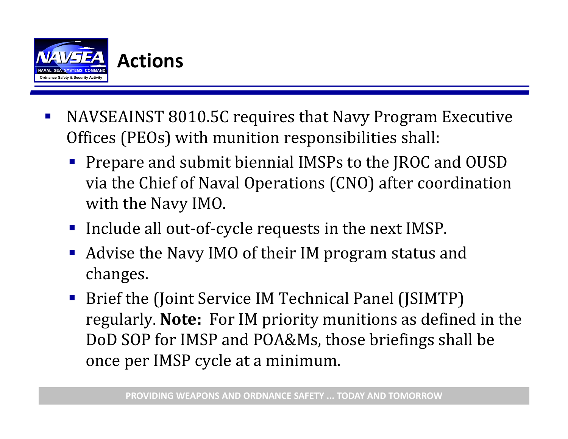

- $\mathcal{L}_{\mathcal{A}}$ NAVSEAINST 8010.5C requires that Navy Program Executive Offices (PEOs) with munition responsibilities shall:
	- **Prepare and submit biennial IMSPs to the JROC and OUSD** via the Chief of Naval Operations (CNO) after coordination with the Navy IMO.
	- Include all out-of-cycle requests in the next IMSP.
	- Advise the Navy IMO of their IM program status and changes.
	- Brief the (Joint Service IM Technical Panel (JSIMTP) regularly. Note: For IM priority munitions as defined in the DoD SOP for IMSP and POA&Ms, those briefings shall be once per IMSP cycle at a minimum.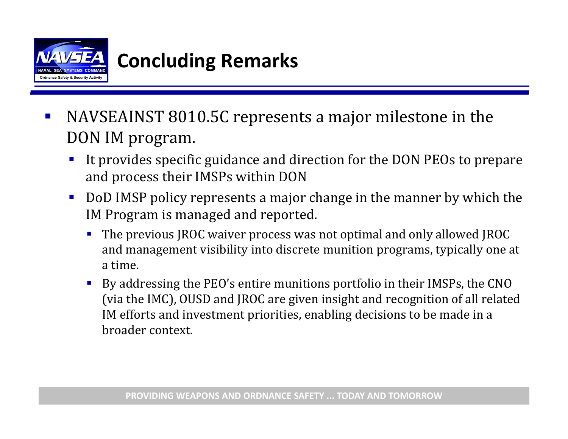

## **Concluding Remarks**

- $\mathcal{L}_{\mathcal{A}}$ NAVSEAINST 8010.5C represents a major milestone in the DON IM program.
	- It provides specific guidance and direction for the DON PEOs to prepare and process their IMSPs within DON
	- **Service Service** DoD IMSP policy represents a major change in the manner by which the IM Program is managed and reported.
		- ш The previous JROC waiver process was not optimal and only allowed JROC and management visibility into discrete munition programs, typically one at a time.
		- П By addressing the PEO's entire munitions portfolio in their IMSPs, the CNO (via the IMC), OUSD and JROC are given insight and recognition of all related IM efforts and investment priorities, enabling decisions to be made in a broader context.